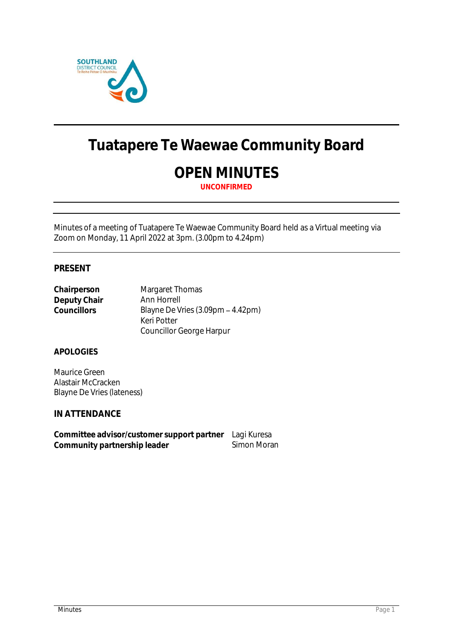

# **Tuatapere Te Waewae Community Board**

# **OPEN MINUTES**

**UNCONFIRMED**

Minutes of a meeting of Tuatapere Te Waewae Community Board held as a Virtual meeting via Zoom on Monday, 11 April 2022 at 3pm. (3.00pm to 4.24pm)

# **PRESENT**

| Chairperson  | Margaret Thomas                   |
|--------------|-----------------------------------|
| Deputy Chair | Ann Horrell                       |
| Councillors  | Blayne De Vries (3.09pm - 4.42pm) |
|              | Keri Potter                       |
|              | Councillor George Harpur          |

## **APOLOGIES**

Maurice Green Alastair McCracken Blayne De Vries (lateness)

**IN ATTENDANCE**

**Committee advisor/customer support partner** Lagi Kuresa Community partnership leader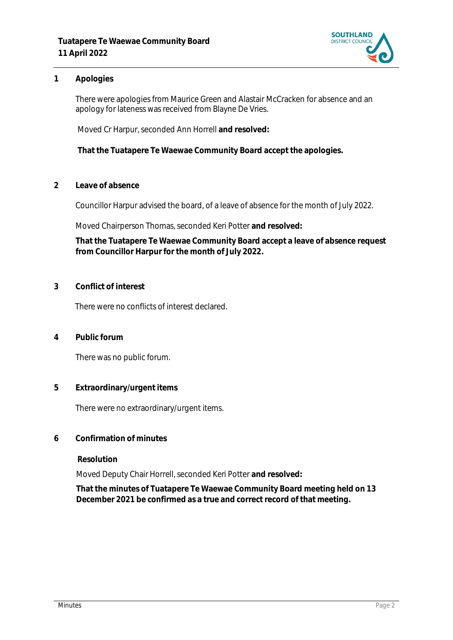

## **1 Apologies**

There were apologies from Maurice Green and Alastair McCracken for absence and an apology for lateness was received from Blayne De Vries.

Moved Cr Harpur, seconded Ann Horrell **and resolved:**

**That the Tuatapere Te Waewae Community Board accept the apologies.**

**2 Leave of absence** 

Councillor Harpur advised the board, of a leave of absence for the month of July 2022.

Moved Chairperson Thomas, seconded Keri Potter **and resolved:**

**That the Tuatapere Te Waewae Community Board accept a leave of absence request from Councillor Harpur for the month of July 2022.**

**3 Conflict of interest**

There were no conflicts of interest declared.

**4 Public forum**

There was no public forum.

**5 Extraordinary/urgent items**

There were no extraordinary/urgent items.

**6 Confirmation of minutes**

**Resolution**

Moved Deputy Chair Horrell, seconded Keri Potter **and resolved:**

**That the minutes of Tuatapere Te Waewae Community Board meeting held on 13 December 2021 be confirmed as a true and correct record of that meeting.**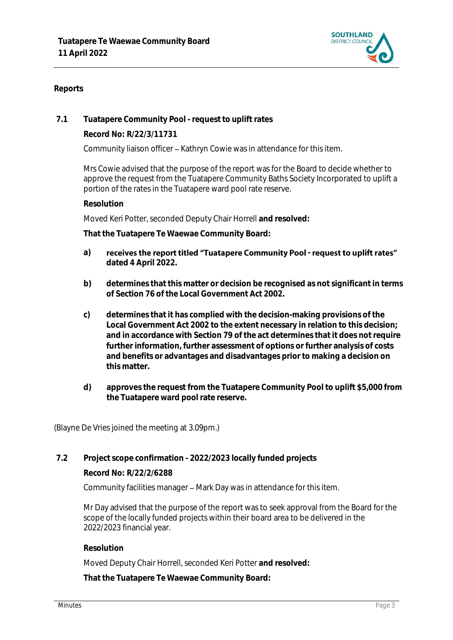

## **Reports**

**7.1 Tuatapere Community Pool - request to uplift rates**

**Record No: R/22/3/11731**

Community liaison officer - Kathryn Cowie was in attendance for this item.

Mrs Cowie advised that the purpose of the report was for the Board to decide whether to approve the request from the Tuatapere Community Baths Society Incorporated to uplift a portion of the rates in the Tuatapere ward pool rate reserve.

**Resolution**

Moved Keri Potter, seconded Deputy Chair Horrell **and resolved:**

**That the Tuatapere Te Waewae Community Board:**

- a) receives the report titled "Tuatapere Community Pool request to uplift rates" **dated 4 April 2022.**
- **b) determines that this matter or decision be recognised as not significant in terms of Section 76 of the Local Government Act 2002.**
- **c) determines that it has complied with the decision-making provisions of the Local Government Act 2002 to the extent necessary in relation to this decision; and in accordance with Section 79 of the act determines that it does not require further information, further assessment of options or further analysis of costs and benefits or advantages and disadvantages prior to making a decision on this matter.**
- **d) approves the request from the Tuatapere Community Pool to uplift \$5,000 from the Tuatapere ward pool rate reserve.**

(Blayne De Vries joined the meeting at 3.09pm.)

**7.2 Project scope confirmation - 2022/2023 locally funded projects**

**Record No: R/22/2/6288**

Community facilities manager – Mark Day was in attendance for this item.

Mr Day advised that the purpose of the report was to seek approval from the Board for the scope of the locally funded projects within their board area to be delivered in the 2022/2023 financial year.

**Resolution**

Moved Deputy Chair Horrell, seconded Keri Potter **and resolved:**

**That the Tuatapere Te Waewae Community Board:**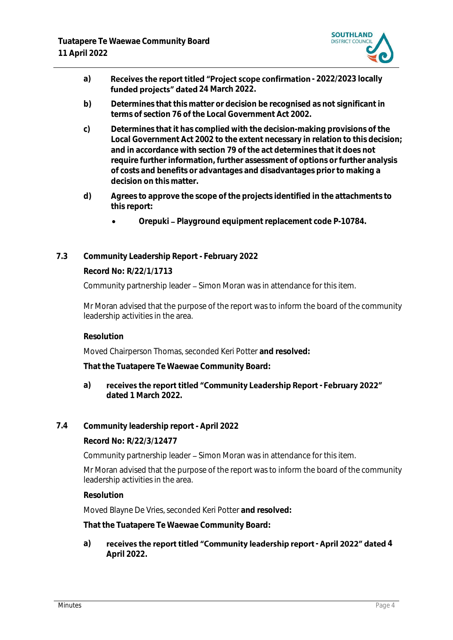

- a) **Receives the report titled "Project scope confirmation 2022/2023 locally** funded projects" dated 24 March 2022.
- **b) Determines that this matter or decision be recognised as not significant in terms of section 76 of the Local Government Act 2002.**
- **c) Determines that it has complied with the decision-making provisions of the Local Government Act 2002 to the extent necessary in relation to this decision; and in accordance with section 79 of the act determines that it does not require further information, further assessment of options or further analysis of costs and benefits or advantages and disadvantages prior to making a decision on this matter.**
- **d) Agrees to approve the scope of the projects identified in the attachments to this report:** 
	- Orepuki Playground equipment replacement code P-10784.
- **7.3 Community Leadership Report - February 2022**

**Record No: R/22/1/1713**

Community partnership leader - Simon Moran was in attendance for this item.

Mr Moran advised that the purpose of the report was to inform the board of the community leadership activities in the area.

**Resolution**

Moved Chairperson Thomas, seconded Keri Potter **and resolved:**

**That the Tuatapere Te Waewae Community Board:**

- a) receives the report titled "Community Leadership Report February 2022" **dated 1 March 2022.**
- **7.4 Community leadership report - April 2022**

**Record No: R/22/3/12477**

Community partnership leader – Simon Moran was in attendance for this item.

Mr Moran advised that the purpose of the report was to inform the board of the community leadership activities in the area.

#### **Resolution**

Moved Blayne De Vries, seconded Keri Potter **and resolved:**

**That the Tuatapere Te Waewae Community Board:**

a) receives the report titled "Community leadership report - April 2022" dated 4 **April 2022.**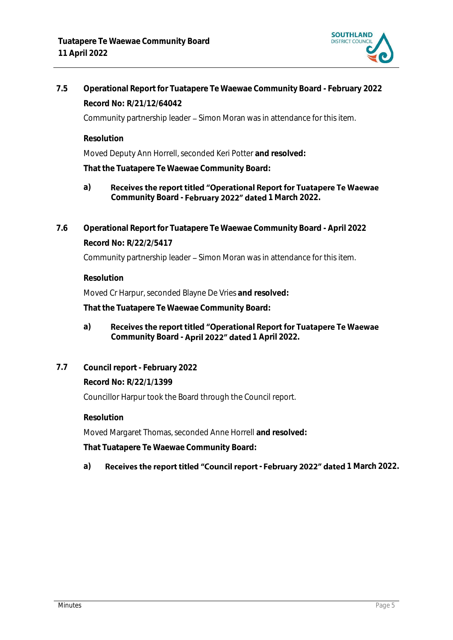

**7.5 Operational Report for Tuatapere Te Waewae Community Board - February 2022 Record No: R/21/12/64042**

Community partnership leader - Simon Moran was in attendance for this item.

**Resolution**

Moved Deputy Ann Horrell, seconded Keri Potter **and resolved:**

**That the Tuatapere Te Waewae Community Board:**

- **a)** Receives the report titled "Operational Report for Tuatapere Te Waewae Community Board - February 2022" dated 1 March 2022.
- **7.6 Operational Report for Tuatapere Te Waewae Community Board - April 2022 Record No: R/22/2/5417** Community partnership leader - Simon Moran was in attendance for this item.

**Resolution**

Moved Cr Harpur, seconded Blayne De Vries **and resolved:**

**That the Tuatapere Te Waewae Community Board:**

- **a)** Receives the report titled "Operational Report for Tuatapere Te Waewae Community Board - **April 2022" dated** 1 April 2022.
- **7.7 Council report - February 2022**

**Record No: R/22/1/1399** Councillor Harpur took the Board through the Council report.

**Resolution** Moved Margaret Thomas, seconded Anne Horrell **and resolved: That Tuatapere Te Waewae Community Board:**

a) Receives the report titled "Council report - February 2022" dated 1 March 2022.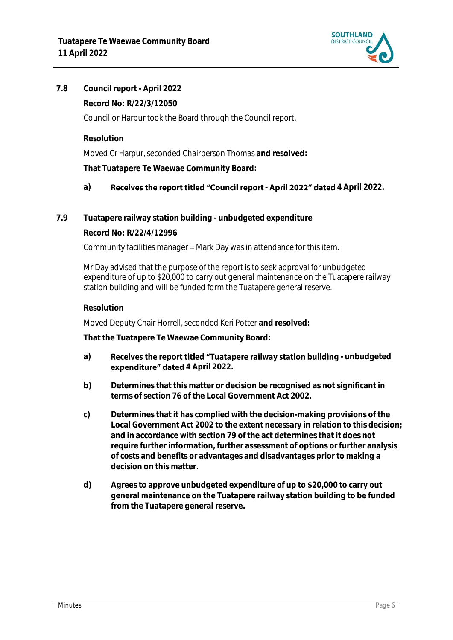

# **7.8 Council report - April 2022 Record No: R/22/3/12050**

Councillor Harpur took the Board through the Council report.

**Resolution**

Moved Cr Harpur, seconded Chairperson Thomas **and resolved:**

**That Tuatapere Te Waewae Community Board:**

# a) **Receives the report titled "Council report - April 2022" dated 4 April 2022.**

**7.9 Tuatapere railway station building - unbudgeted expenditure**

# **Record No: R/22/4/12996**

Community facilities manager - Mark Day was in attendance for this item.

Mr Day advised that the purpose of the report is to seek approval for unbudgeted expenditure of up to \$20,000 to carry out general maintenance on the Tuatapere railway station building and will be funded form the Tuatapere general reserve.

## **Resolution**

Moved Deputy Chair Horrell, seconded Keri Potter **and resolved:**

**That the Tuatapere Te Waewae Community Board:**

- a) **Receives the report titled "Tuatapere railway station building unbudgeted expenditure" dated** 4 April 2022.
- **b) Determines that this matter or decision be recognised as not significant in terms of section 76 of the Local Government Act 2002.**
- **c) Determines that it has complied with the decision-making provisions of the Local Government Act 2002 to the extent necessary in relation to this decision; and in accordance with section 79 of the act determines that it does not require further information, further assessment of options or further analysis of costs and benefits or advantages and disadvantages prior to making a decision on this matter.**
- **d) Agrees to approve unbudgeted expenditure of up to \$20,000 to carry out general maintenance on the Tuatapere railway station building to be funded from the Tuatapere general reserve.**